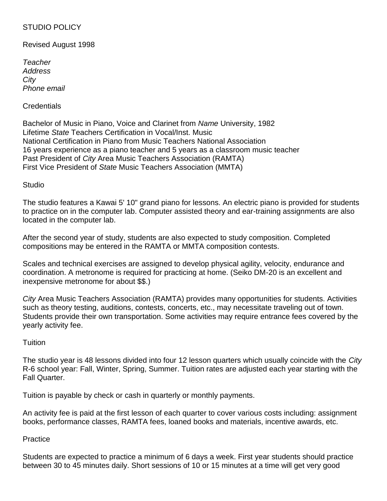# STUDIO POLICY

Revised August 1998

*Teacher Address City Phone email*

# Credentials

Bachelor of Music in Piano, Voice and Clarinet from *Name* University, 1982 Lifetime *State* Teachers Certification in Vocal/Inst. Music National Certification in Piano from Music Teachers National Association 16 years experience as a piano teacher and 5 years as a classroom music teacher Past President of *City* Area Music Teachers Association (RAMTA) First Vice President of *State* Music Teachers Association (MMTA)

**Studio** 

The studio features a Kawai 5' 10" grand piano for lessons. An electric piano is provided for students to practice on in the computer lab. Computer assisted theory and ear-training assignments are also located in the computer lab.

After the second year of study, students are also expected to study composition. Completed compositions may be entered in the RAMTA or MMTA composition contests.

Scales and technical exercises are assigned to develop physical agility, velocity, endurance and coordination. A metronome is required for practicing at home. (Seiko DM-20 is an excellent and inexpensive metronome for about \$\$.)

*City* Area Music Teachers Association (RAMTA) provides many opportunities for students. Activities such as theory testing, auditions, contests, concerts, etc., may necessitate traveling out of town. Students provide their own transportation. Some activities may require entrance fees covered by the yearly activity fee.

### Tuition

The studio year is 48 lessons divided into four 12 lesson quarters which usually coincide with the *City* R-6 school year: Fall, Winter, Spring, Summer. Tuition rates are adjusted each year starting with the Fall Quarter.

Tuition is payable by check or cash in quarterly or monthly payments.

An activity fee is paid at the first lesson of each quarter to cover various costs including: assignment books, performance classes, RAMTA fees, loaned books and materials, incentive awards, etc.

**Practice** 

Students are expected to practice a minimum of 6 days a week. First year students should practice between 30 to 45 minutes daily. Short sessions of 10 or 15 minutes at a time will get very good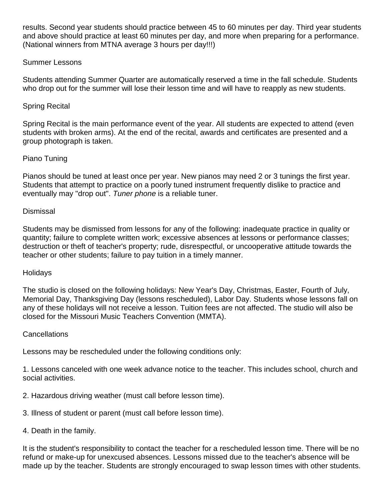results. Second year students should practice between 45 to 60 minutes per day. Third year students and above should practice at least 60 minutes per day, and more when preparing for a performance. (National winners from MTNA average 3 hours per day!!!)

# Summer Lessons

Students attending Summer Quarter are automatically reserved a time in the fall schedule. Students who drop out for the summer will lose their lesson time and will have to reapply as new students.

# Spring Recital

Spring Recital is the main performance event of the year. All students are expected to attend (even students with broken arms). At the end of the recital, awards and certificates are presented and a group photograph is taken.

# Piano Tuning

Pianos should be tuned at least once per year. New pianos may need 2 or 3 tunings the first year. Students that attempt to practice on a poorly tuned instrument frequently dislike to practice and eventually may "drop out". *Tuner phone* is a reliable tuner.

### Dismissal

Students may be dismissed from lessons for any of the following: inadequate practice in quality or quantity; failure to complete written work; excessive absences at lessons or performance classes; destruction or theft of teacher's property; rude, disrespectful, or uncooperative attitude towards the teacher or other students; failure to pay tuition in a timely manner.

### **Holidays**

The studio is closed on the following holidays: New Year's Day, Christmas, Easter, Fourth of July, Memorial Day, Thanksgiving Day (lessons rescheduled), Labor Day. Students whose lessons fall on any of these holidays will not receive a lesson. Tuition fees are not affected. The studio will also be closed for the Missouri Music Teachers Convention (MMTA).

#### Cancellations

Lessons may be rescheduled under the following conditions only:

1. Lessons canceled with one week advance notice to the teacher. This includes school, church and social activities.

- 2. Hazardous driving weather (must call before lesson time).
- 3. Illness of student or parent (must call before lesson time).
- 4. Death in the family.

It is the student's responsibility to contact the teacher for a rescheduled lesson time. There will be no refund or make-up for unexcused absences. Lessons missed due to the teacher's absence will be made up by the teacher. Students are strongly encouraged to swap lesson times with other students.